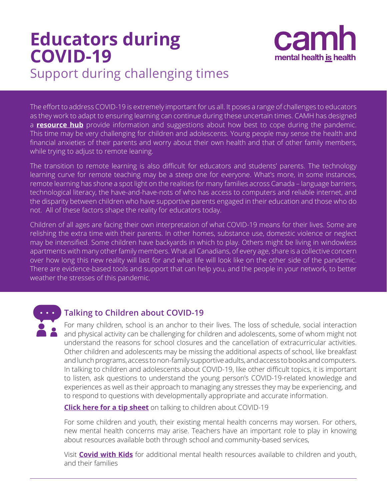# **Educators during COVID-19** Support during challenging times



The effort to address COVID-19 is extremely important for us all. It poses a range of challenges to educators as they work to adapt to ensuring learning can continue during these uncertain times. CAMH has designed a **[resource hub](http://www.camh.ca/en/health-info/mental-health-and-covid-19)** provide information and suggestions about how best to cope during the pandemic. This time may be very challenging for children and adolescents. Young people may sense the health and financial anxieties of their parents and worry about their own health and that of other family members, while trying to adjust to remote leaning.

The transition to remote learning is also difficult for educators and students' parents. The technology learning curve for remote teaching may be a steep one for everyone. What's more, in some instances, remote learning has shone a spot light on the realities for many families across Canada – language barriers, technological literacy, the have-and-have-nots of who has access to computers and reliable internet, and the disparity between children who have supportive parents engaged in their education and those who do not. All of these factors shape the reality for educators today.

Children of all ages are facing their own interpretation of what COVID-19 means for their lives. Some are relishing the extra time with their parents. In other homes, substance use, domestic violence or neglect may be intensified. Some children have backyards in which to play. Others might be living in windowless apartments with many other family members. What all Canadians, of every age, share is a collective concern over how long this new reality will last for and what life will look like on the other side of the pandemic. There are evidence-based tools and support that can help you, and the people in your network, to better weather the stresses of this pandemic.



## **Talking to Children about COVID-19**

For many children, school is an anchor to their lives. The loss of schedule, social interaction and physical activity can be challenging for children and adolescents, some of whom might not understand the reasons for school closures and the cancellation of extracurricular activities. Other children and adolescents may be missing the additional aspects of school, like breakfast and lunch programs, access to non-family supportive adults, and access to books and computers. In talking to children and adolescents about COVID-19, like other difficult topics, it is important to listen, ask questions to understand the young person's COVID-19-related knowledge and experiences as well as their approach to managing any stresses they may be experiencing, and to respond to questions with developmentally appropriate and accurate information.

**[Click here for a tip sheet](https://www.camh.ca/-/media/files/camh_covid19_infosheet-talking_to_kids-pdf.pdf?la=en&hash=59AC3799BC481EC9238ECD9044A98B40C5CEA253)** on talking to children about COVID-19

For some children and youth, their existing mental health concerns may worsen. For others, new mental health concerns may arise. Teachers have an important role to play in knowing about resources available both through school and community-based services,

Visit **[Covid with Kids](https://www.covidwithkids.org/)** for additional mental health resources available to children and youth, and their families